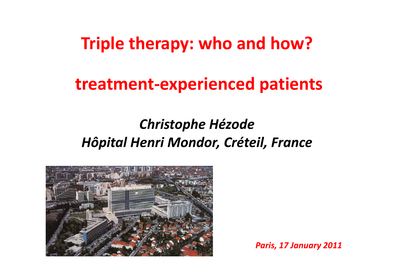# **Triple therapy: who and how?**

# **treatment‐experienced patients**

#### *Christophe Hézode Hôpital Henri Mondor, Créteil, France*



*Paris, 17 January 2011*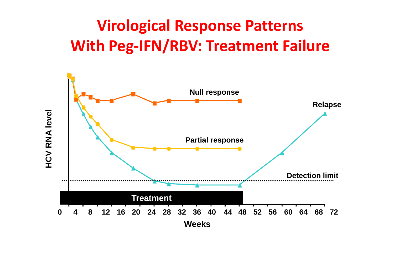# **Virological Response Patterns With Peg‐IFN/RBV: Treatment Failure**

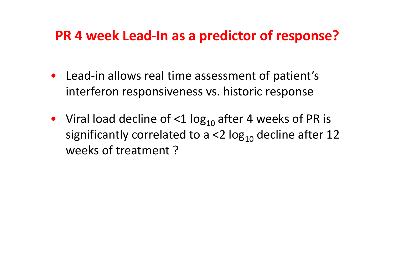#### **PR 4 week Lead‐In as <sup>a</sup> predictor of response?**

- Lead-in allows real time assessment of patient's interferon responsiveness vs. historic response
- Viral load decline of  $\leq 1$  log<sub>10</sub> after 4 weeks of PR is significantly correlated to a <2  $\log_{10}$  decline after 12 weeks of treatment ?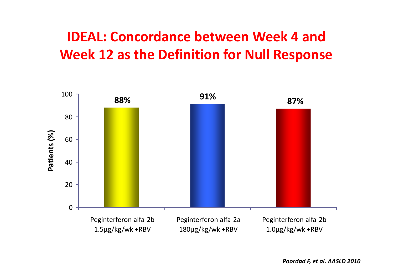#### **IDEAL: Concordance between Week 4 and Week 12 as the Definition for Null Response**

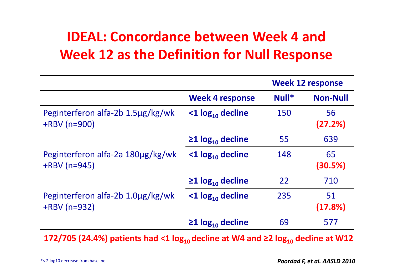## **IDEAL: Concordance between Week 4 and Week 12 as the Definition for Null Response**

|                                                      |                                    | <b>Week 12 response</b> |                 |
|------------------------------------------------------|------------------------------------|-------------------------|-----------------|
|                                                      | <b>Week 4 response</b>             | $Null*$                 | <b>Non-Null</b> |
| Peginterferon alfa-2b 1.5µg/kg/wk<br>$+$ RBV (n=900) | $<$ 1 log <sub>10</sub> decline    | 150                     | 56<br>(27.2%)   |
|                                                      | $\geq$ 1 log <sub>10</sub> decline | 55                      | 639             |
| Peginterferon alfa-2a 180µg/kg/wk<br>$+$ RBV (n=945) | $<$ 1 log <sub>10</sub> decline    | 148                     | 65<br>(30.5%)   |
|                                                      | $\geq$ 1 log <sub>10</sub> decline | 22                      | 710             |
| Peginterferon alfa-2b 1.0µg/kg/wk<br>$+$ RBV (n=932) | $<$ 1 log <sub>10</sub> decline    | 235                     | 51<br>(17.8%)   |
|                                                      | $\geq$ 1 log <sub>10</sub> decline | 69                      | 577             |

**172/705 (24.4%) patients had <1 log10 decline at W4 and ≥<sup>2</sup> log10 decline at W12**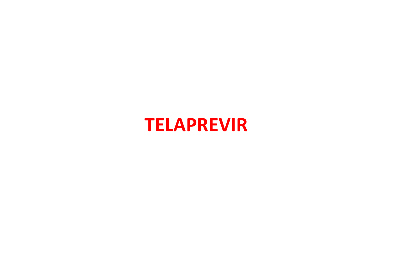# **TELAPREVIR**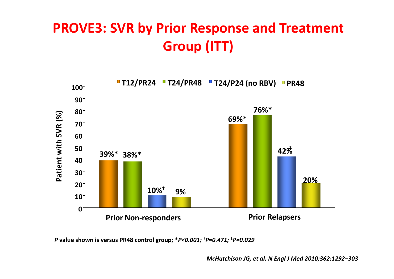## **PROVE3: SVR by Prior Response and Treatment Group (ITT)**



*P* **value shown is versus PR48 control group; \****P<0.001;* **†***P=0.471;* **‡***P=0.029*

*McHutchison JG, et al. N Engl J Med 2010;362:1292–303*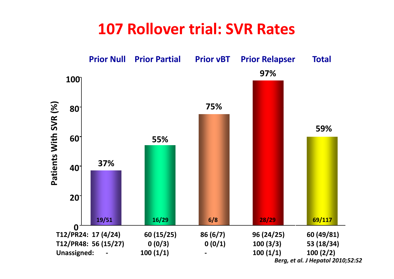### **107 Rollover trial: SVR Rates**

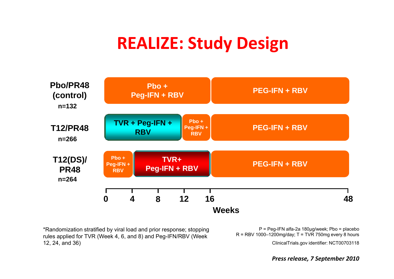# **REALIZE: Study Design**



\*Randomization stratified by viral load and prior response; stopping rules applied for TVR (Week 4, 6, and 8) and Peg-IFN/RBV (Week  $R$  = RBV 1000–1200mg/day; T = TVR 750mg every 12, 24, and 36)

P = Peg-IFN alfa-2a 180μg/week; Pbo = placebo R <sup>=</sup> RBV 1000 1200mg/day; T <sup>=</sup> TVR 750mg every 8 hours

ClinicalTrials.gov identifier: NCT00703118

*Press release, 7 September 2010*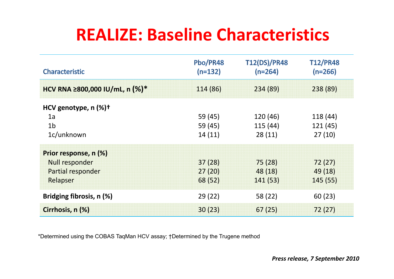# **REALIZE: Baseline Characteristics**

| Characteristic                     | Pbo/PR48<br>$(n=132)$ | <b>T12(DS)/PR48</b><br>$(n=264)$ | <b>T12/PR48</b><br>$(n=266)$ |
|------------------------------------|-----------------------|----------------------------------|------------------------------|
| HCV RNA ≥800,000 IU/mL, n (%)*     | 114 (86)              | 234 (89)                         | 238 (89)                     |
| HCV genotype, $n$ (%) <sup>+</sup> |                       |                                  |                              |
| 1a                                 | 59 (45)               | 120(46)                          | 118 (44)                     |
| 1 <sub>b</sub>                     | 59 (45)               | 115(44)                          | 121 (45)                     |
| 1c/unknown                         | 14(11)                | 28(11)                           | 27(10)                       |
| Prior response, n (%)              |                       |                                  |                              |
| <b>Null responder</b>              | 37(28)                | 75(28)                           | 72(27)                       |
| Partial responder                  | 27(20)                | 48 (18)                          | 49 (18)                      |
| Relapser                           | 68 (52)               | 141(53)                          | 145(55)                      |
| Bridging fibrosis, n (%)           | 29(22)                | 58 (22)                          | 60(23)                       |
| Cirrhosis, n (%)                   | 30(23)                | 67(25)                           | 72(27)                       |

\*Determined using the COBAS TaqMan HCV assay; †Determined by the Trugene method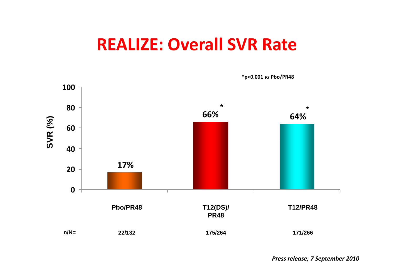# **REALIZE: Overall SVR Rate**



*Press release, 7 September 2010*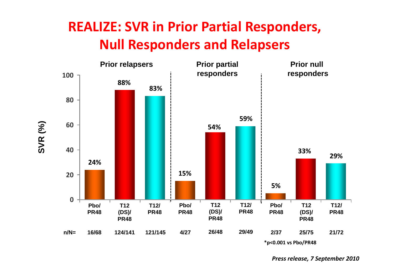#### **REALIZE: SVR in Prior Partial Responders, Null Responders and Relapsers**



*Press release, 7 September 2010*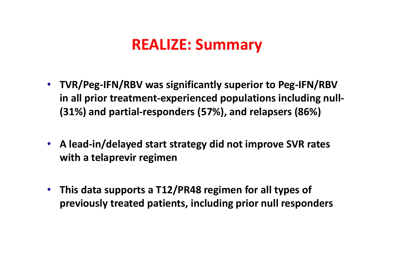#### **REALIZE: Summary**

- **TVR/Peg‐IFN/RBV was significantly superior to Peg‐IFN/RBV in all prior treatment‐experienced populations including null‐ ( ) 31% and parti l <sup>a</sup> ‐responders ( ) 57% , and relapsers ( ) 86%**
- **A lead‐in/delayed start strategy did not improve SVR rates with <sup>a</sup> telaprevir regimen**
- **This data supports <sup>a</sup> T12/PR48 regimen for all types of previously treated patients patients, including prior null responders**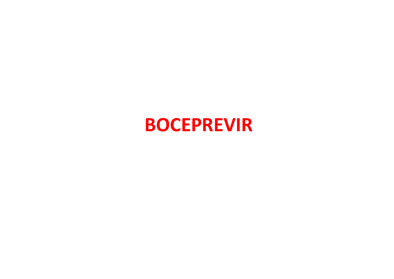# **BOCEPREVIR**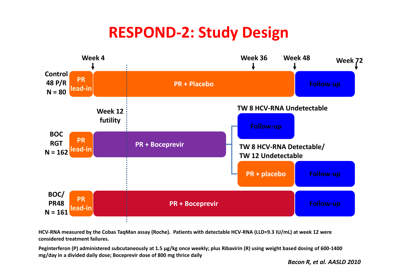## **RESPOND‐2: Study Design**



HCV-RNA measured by the Cobas TaqMan assay (Roche). Patients with detectable HCV-RNA (LLD=9.3 IU/mL) at week 12 were **considered treatment failures.**

Peginterferon (P) administered subcutaneously at 1.5 µg/kg once weekly; plus Ribavirin (R) using weight based dosing of 600-1400 **mg/day in <sup>a</sup> divided daily dose; Boceprevir dose of 800 mg thrice daily**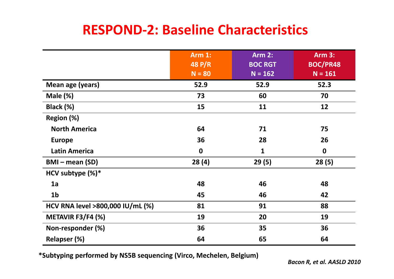#### **RESPOND‐2: Baseline Characteristics**

|                                  | <b>Arm 1:</b><br>48 P/R<br>$N = 80$ | <b>Arm 2:</b><br><b>BOC RGT</b><br>$N = 162$ | <b>Arm 3:</b><br><b>BOC/PR48</b><br>$N = 161$ |
|----------------------------------|-------------------------------------|----------------------------------------------|-----------------------------------------------|
| Mean age (years)                 | 52.9                                | 52.9                                         | 52.3                                          |
| Male $(\%)$                      | 73                                  | 60                                           | 70                                            |
| Black (%)                        | 15                                  | 11                                           | 12                                            |
| Region (%)                       |                                     |                                              |                                               |
| <b>North America</b>             | 64                                  | 71                                           | 75                                            |
| <b>Europe</b>                    | 36                                  | 28                                           | 26                                            |
| <b>Latin America</b>             | $\mathbf 0$                         | $\mathbf{1}$                                 | $\mathbf 0$                                   |
| $BMI$ – mean (SD)                | 28(4)                               | 29(5)                                        | 28(5)                                         |
| HCV subtype $(\%)^*$             |                                     |                                              |                                               |
| 1a                               | 48                                  | 46                                           | 48                                            |
| 1 <sub>b</sub>                   | 45                                  | 46                                           | 42                                            |
| HCV RNA level >800,000 IU/mL (%) | 81                                  | 91                                           | 88                                            |
| METAVIR F3/F4 (%)                | 19                                  | 20                                           | 19                                            |
| Non-responder (%)                | 36                                  | 35                                           | 36                                            |
| Relapser (%)                     | 64                                  | 65                                           | 64                                            |

**\*Subtyping performed by NS5B sequencing (Virco, Mechelen, Belgium)**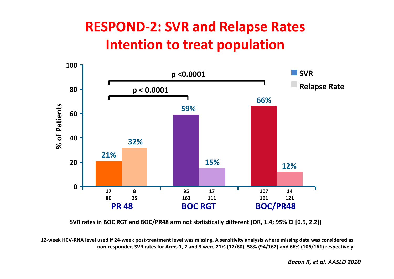#### **RESPOND‐2: SVR and Relapse Rates Intention to treat population**



**SVR rates in BOC RGT and BOC/PR48 arm not statistically different (OR, 1.4; 95% CI [0.9, 2.2])**

12-week HCV-RNA level used if 24-week post-treatment level was missing. A sensitivity analysis where missing data was considered as non-responder, SVR rates for Arms 1, 2 and 3 were 21% (17/80), 58% (94/162) and 66% (106/161) respectively

*Bacon R, et al. AASLD 2010*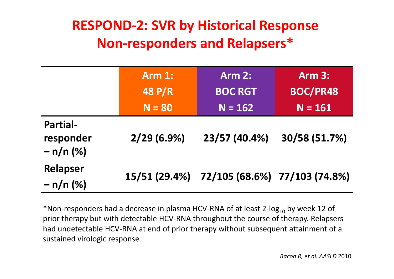### **RESPOND‐2: SVR by Historical Response Non‐responders and Relapsers Relapsers\***

|                                             | <b>Arm 1:</b> | <b>Arm 2:</b>                               | <b>Arm 3:</b>   |
|---------------------------------------------|---------------|---------------------------------------------|-----------------|
|                                             | <b>48 P/R</b> | <b>BOC RGT</b>                              | <b>BOC/PR48</b> |
|                                             | $N = 80$      | $N = 162$                                   | $N = 161$       |
| <b>Partial-</b><br>responder<br>$- n/n (%)$ | $2/29(6.9\%)$ | 23/57 (40.4%)                               | 30/58 (51.7%)   |
| Relapser<br>$- n/n (%)$                     |               | 15/51 (29.4%) 72/105 (68.6%) 77/103 (74.8%) |                 |

\*Non-responders had a decrease in plasma HCV-RNA of at least 2-log<sub>10</sub> by week 12 of prior therapy but with detectable HCV‐RNA throughout the course of therapy. Relapsers had undetectable HCV‐RNA at end of prior therapy without subsequent attainment of <sup>a</sup> sustained virologic response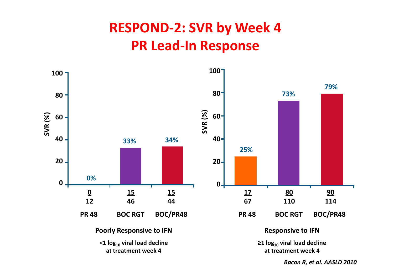## **RESPOND‐2: SVR by Week 4 PR Lead‐In Response**



*Bacon R, et al. AASLD 2010*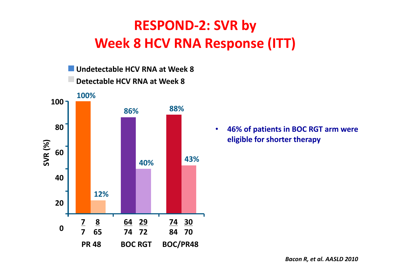## **RESPOND‐2: SVR by Week 8 HCV RNA Response (ITT)**



• **46% of patients in BOC RGT arm were eligible for shorter therapy**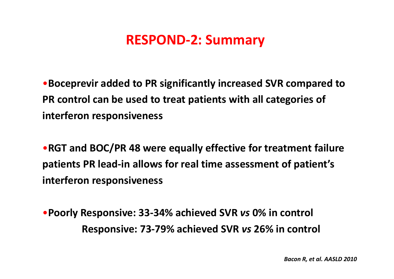#### **RESPOND‐2: Summary**

•**Boceprevir added to PR significantly increased SVR compared to PR control can be used to treat patients with all categories of interferon responsiveness**

•**RGT and BOC/PR 48 were equally effective for treatment failure patients PR lead‐in allows for real time assessment of patient's interferon responsiveness**

•**Poorly Responsive: 33‐34% achieved SVR** *vs* **0% in control Responsive: 73‐79% achieved SVR** *vs* **26% in control**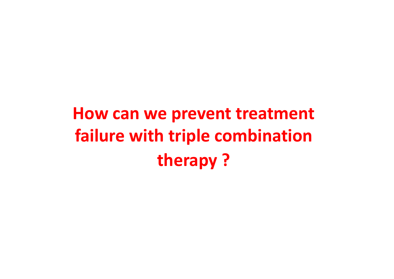# **How can we prevent treatment failure with triple combination therapy ?**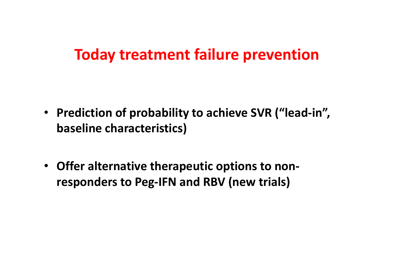#### **Today treatment failure prevention**

- **Prediction of probability to achieve SVR ("lead‐in", baseline characteristics)**
- **Offer alternative therapeutic options to non‐ responders to Peg‐IFN and RBV (new trials)**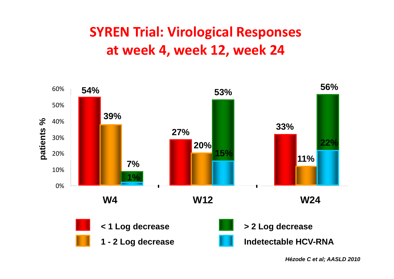### **SYREN Trial: Virological Responses at week 4, week 12, week 24**



*Hézode C et al; AASLD 2010*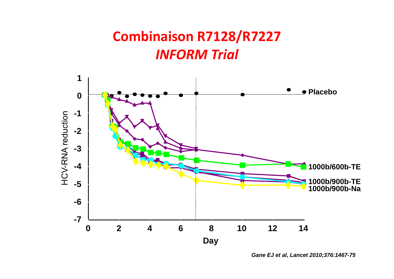#### **Combinaison R7128/R7227** *INFORM Trial*



*Gane EJ et al, Lancet 2010;376:1467-75*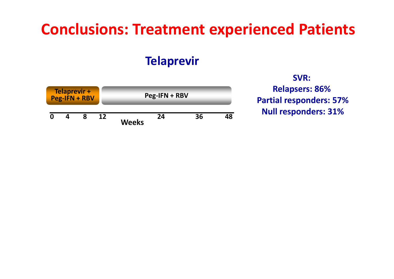## **Conclusions: Treatment experienced Patients**

#### **Telaprevir**



**SVRSVR:Relapsers: 86% Partial responders: 57% Null responders: 31%**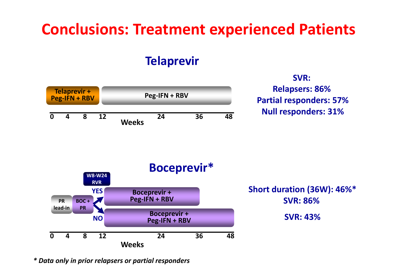# **Conclusions: Treatment experienced Patients**

#### **Telaprevir**



**SVRSVR:Relapsers: 86% Partial responders: 57% Null responders: 31%**



 **Short duration (36W): 46%\* SVR: 86%SVR: 43%**

*\* Data only in prior relapsers or partial responders*